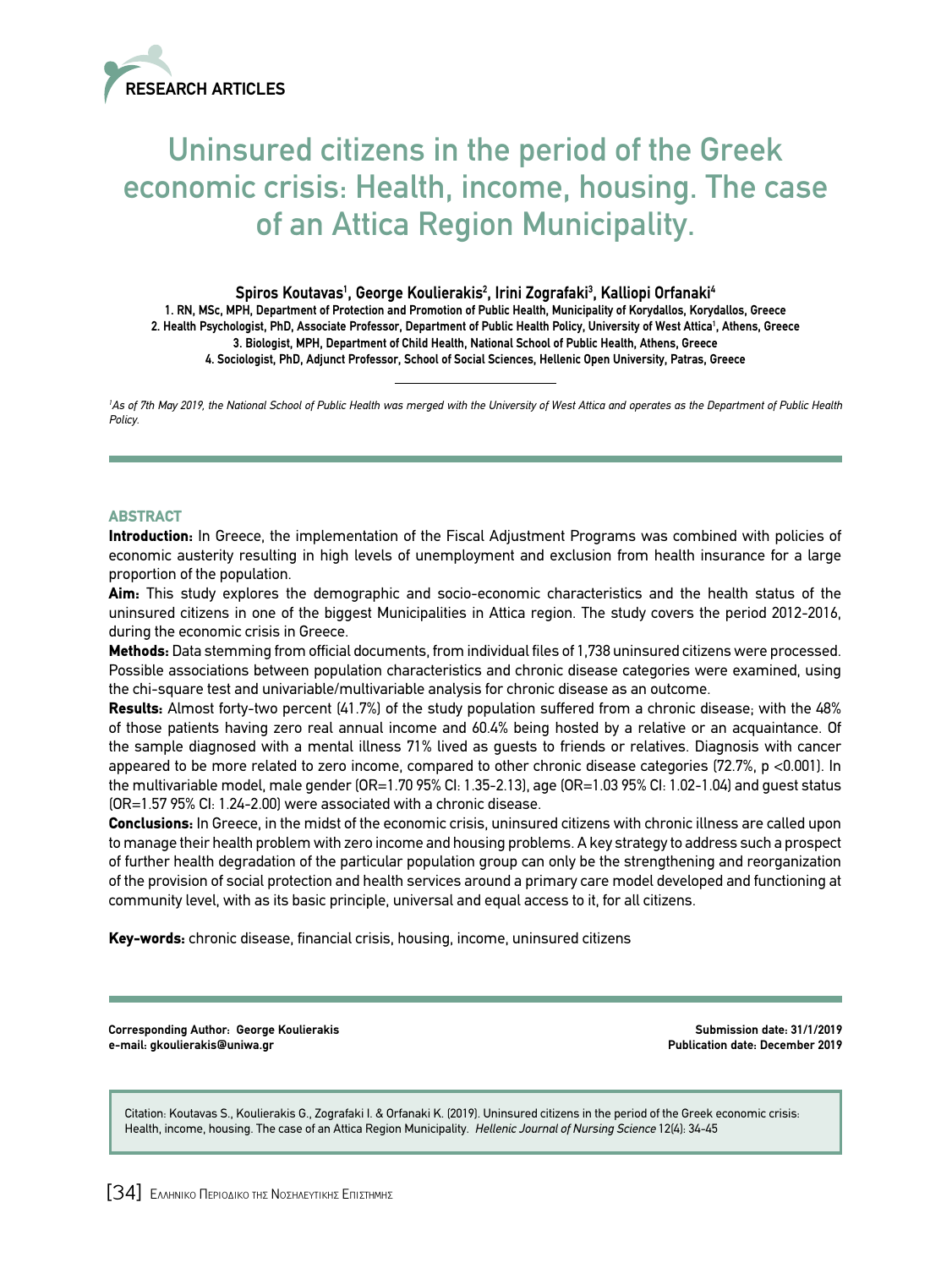

# Uninsured citizens in the period of the Greek economic crisis: Health, income, housing. The case of an Attica Region Municipality.

# Spiros Koutavas<sup>ı</sup>, George Koulierakis<sup>2</sup>, Irini Zografaki<sup>3</sup>, Kalliopi Orfanaki<sup>4</sup> **1. RN, MSc, MPH, Department of Protection and Promotion of Public Health, Municipality of Korydallos, Korydallos, Greece 2. Health Psychologist, PhD, Associate Professor, Department of Public Health Policy, University of West Attica1 , Athens, Greece**

**3. Biologist, MPH, Department of Child Health, National School of Public Health, Athens, Greece**

**4. Sociologist, PhD, Adjunct Professor, School of Social Sciences, Hellenic Open University, Patras, Greece**

<sup>1</sup>As of 7th May 2019, the National School of Public Health was merged with the University of West Attica and operates as the Department of Public Health *Policy.*

# ABSTRACT

Introduction: In Greece, the implementation of the Fiscal Adjustment Programs was combined with policies of economic austerity resulting in high levels of unemployment and exclusion from health insurance for a large proportion of the population.

Aim: This study explores the demographic and socio-economic characteristics and the health status of the uninsured citizens in one of the biggest Municipalities in Attica region. The study covers the period 2012-2016, during the economic crisis in Greece.

Methods: Data stemming from official documents, from individual files of 1,738 uninsured citizens were processed. Possible associations between population characteristics and chronic disease categories were examined, using the chi-square test and univariable/multivariable analysis for chronic disease as an outcome.

Results: Almost forty-two percent (41.7%) of the study population suffered from a chronic disease; with the 48% of those patients having zero real annual income and 60.4% being hosted by a relative or an acquaintance. Of the sample diagnosed with a mental illness 71% lived as guests to friends or relatives. Diagnosis with cancer appeared to be more related to zero income, compared to other chronic disease categories (72.7%, p <0.001). In the multivariable model, male gender (OR=1.70 95% CI: 1.35-2.13), age (OR=1.03 95% CI: 1.02-1.04) and guest status (OR=1.57 95% CI: 1.24-2.00) were associated with a chronic disease.

Conclusions: In Greece, in the midst of the economic crisis, uninsured citizens with chronic illness are called upon to manage their health problem with zero income and housing problems. A key strategy to address such a prospect of further health degradation of the particular population group can only be the strengthening and reorganization of the provision of social protection and health services around a primary care model developed and functioning at community level, with as its basic principle, universal and equal access to it, for all citizens.

Key-words: chronic disease, financial crisis, housing, income, uninsured citizens

**Corresponding Author: George Koulierakis e-mail: gkoulierakis@uniwa.gr** 

**Submission date: 31/1/2019 Publication date: December 2019**

Citation: Koutavas S., Koulierakis G., Zografaki I. & Orfanaki K. (2019). Uninsured citizens in the period of the Greek economic crisis: Health, income, housing. The case of an Attica Region Municipality. *Hellenic Journal of Nursing Science* 12(4): 34-45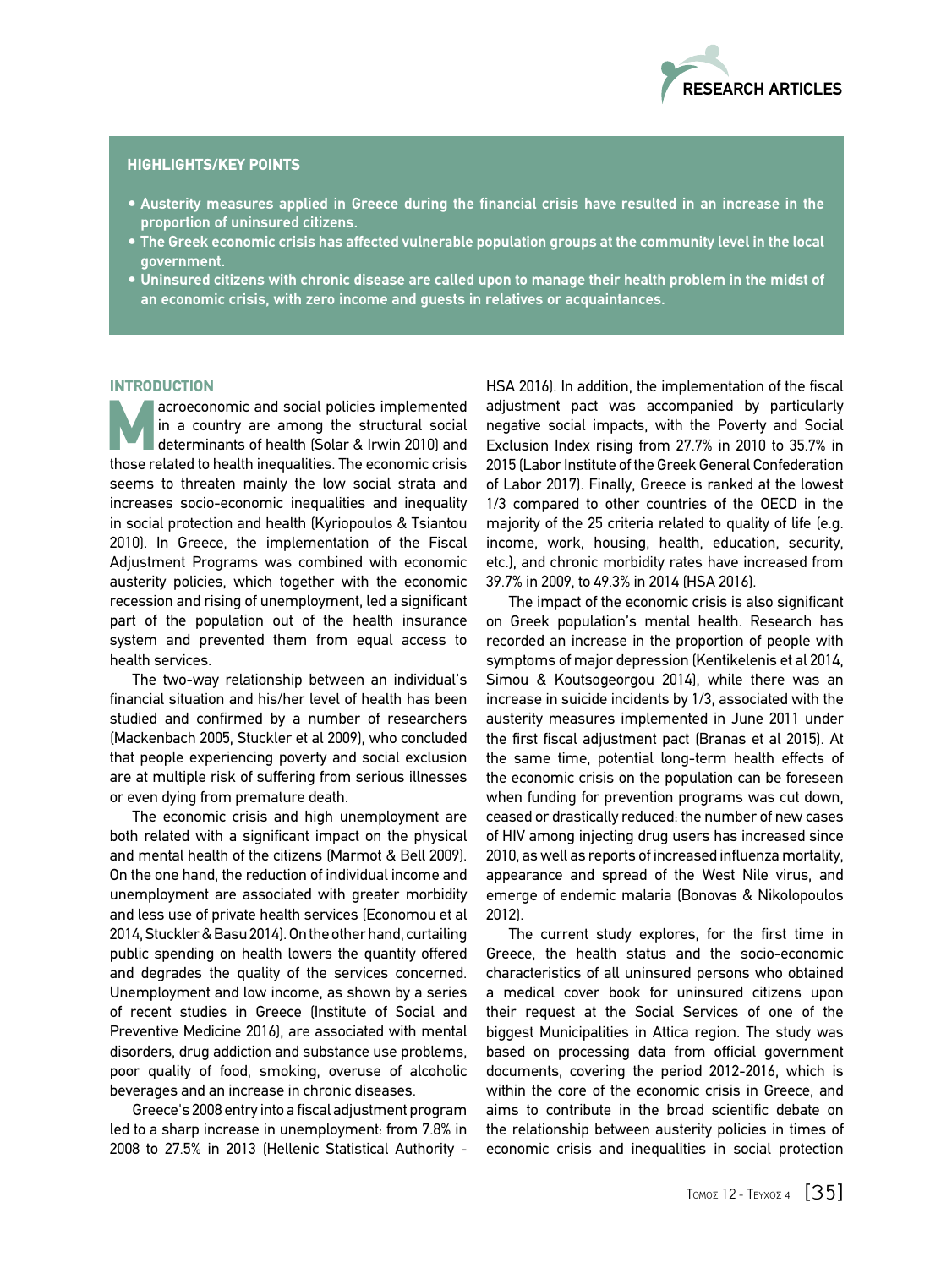

## HIGHLIGHTS/KEY POINTS

- $\bullet$  Austerity measures applied in Greece during the financial crisis have resulted in an increase in the **proportion of uninsured citizens.**
- $\bullet$  The Greek economic crisis has affected vulnerable population groups at the community level in the local **government.**
- $\bullet$  Uninsured citizens with chronic disease are called upon to manage their health problem in the midst of **an economic crisis, with zero income and guests in relatives or acquaintances.**

## **INTRODUCTION**

acroeconomic and social policies implemented<br>
in a country are among the structural social<br>
determinants of health (Solar & Irwin 2010) and<br>
these related to bealth inequalities. The escenario stricts in a country are among the structural social those related to health inequalities. The economic crisis seems to threaten mainly the low social strata and increases socio-economic inequalities and inequality in social protection and health (Kyriopoulos & Tsiantou 2010). In Greece, the implementation of the Fiscal Adjustment Programs was combined with economic austerity policies, which together with the economic recession and rising of unemployment, led a significant part of the population out of the health insurance system and prevented them from equal access to health services.

The two-way relationship between an individual's financial situation and his/her level of health has been studied and confirmed by a number of researchers (Mackenbach 2005, Stuckler et al 2009), who concluded that people experiencing poverty and social exclusion are at multiple risk of suffering from serious illnesses or even dying from premature death.

The economic crisis and high unemployment are both related with a significant impact on the physical and mental health of the citizens (Marmot & Bell 2009). On the one hand, the reduction of individual income and unemployment are associated with greater morbidity and less use of private health services (Economou et al 2014, Stuckler & Basu 2014). On the other hand, curtailing public spending on health lowers the quantity offered and degrades the quality of the services concerned. Unemployment and low income, as shown by a series of recent studies in Greece (Institute of Social and Preventive Medicine 2016), are associated with mental disorders, drug addiction and substance use problems, poor quality of food, smoking, overuse of alcoholic beverages and an increase in chronic diseases.

Greece's 2008 entry into a fiscal adjustment program led to a sharp increase in unemployment: from 7.8% in 2008 to 27.5% in 2013 (Hellenic Statistical Authority -

HSA 2016). In addition, the implementation of the fiscal adjustment pact was accompanied by particularly negative social impacts, with the Poverty and Social Exclusion Index rising from 27.7% in 2010 to 35.7% in 2015 (Labor Institute of the Greek General Confederation of Labor 2017). Finally, Greece is ranked at the lowest 1/3 compared to other countries of the OECD in the majority of the 25 criteria related to quality of life (e.g. income, work, housing, health, education, security, etc.), and chronic morbidity rates have increased from 39.7% in 2009, to 49.3% in 2014 (HSA 2016).

The impact of the economic crisis is also significant on Greek population's mental health. Research has recorded an increase in the proportion of people with symptoms of major depression (Kentikelenis et al 2014, Simou & Koutsogeorgou 2014), while there was an increase in suicide incidents by 1/3, associated with the austerity measures implemented in June 2011 under the first fiscal adjustment pact (Branas et al 2015). At the same time, potential long-term health effects of the economic crisis on the population can be foreseen when funding for prevention programs was cut down, ceased or drastically reduced: the number of new cases of HIV among injecting drug users has increased since 2010, as well as reports of increased influenza mortality, appearance and spread of the West Nile virus, and emerge of endemic malaria (Bonovas & Nikolopoulos 2012).

The current study explores, for the first time in Greece, the health status and the socio-economic characteristics of all uninsured persons who obtained a medical cover book for uninsured citizens upon their request at the Social Services of one of the biggest Municipalities in Attica region. The study was based on processing data from official government documents, covering the period 2012-2016, which is within the core of the economic crisis in Greece, and aims to contribute in the broad scientific debate on the relationship between austerity policies in times of economic crisis and inequalities in social protection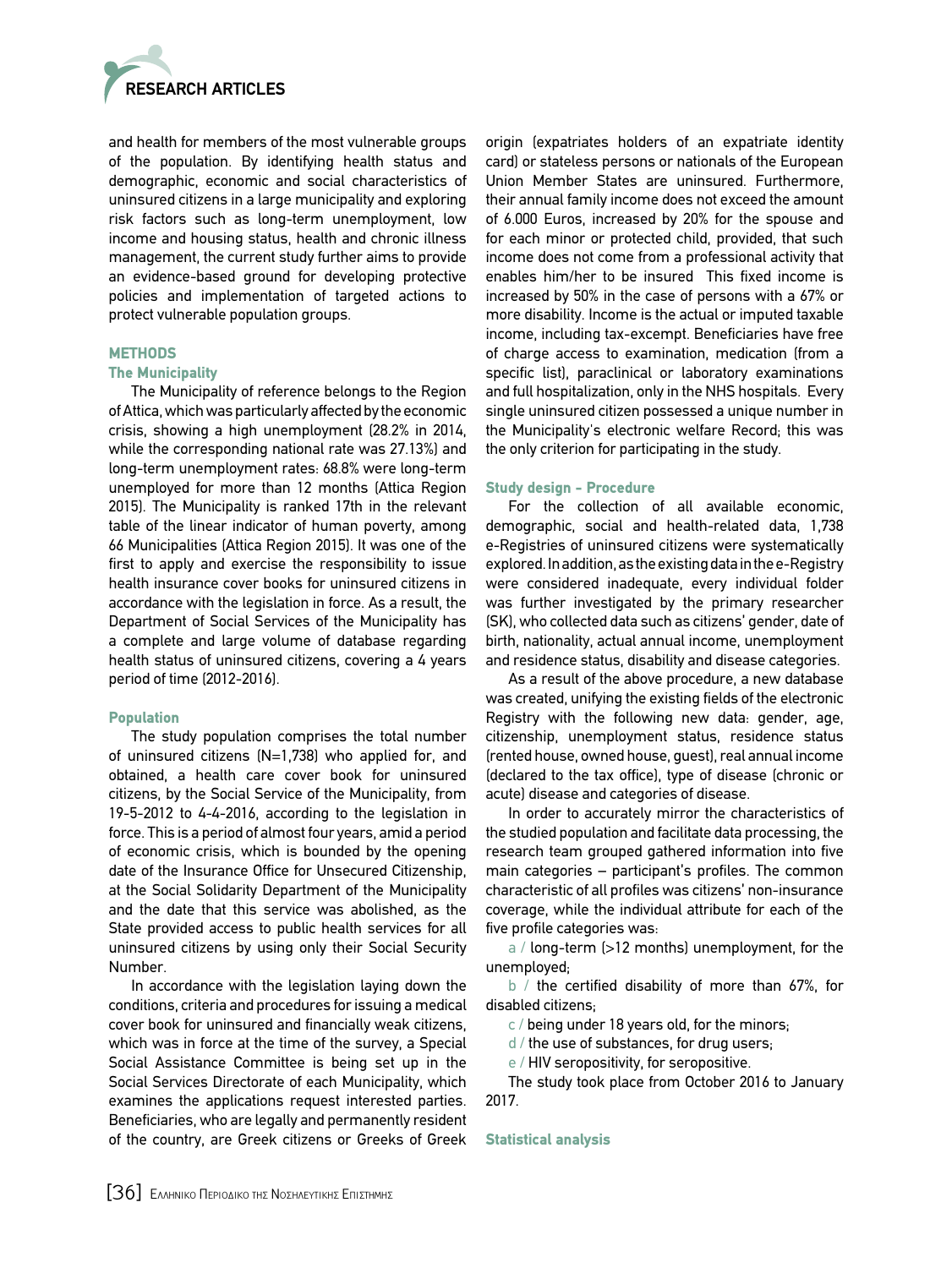

and health for members of the most vulnerable groups of the population. By identifying health status and demographic, economic and social characteristics of uninsured citizens in a large municipality and exploring risk factors such as long-term unemployment, low income and housing status, health and chronic illness management, the current study further aims to provide an evidence-based ground for developing protective policies and implementation of targeted actions to protect vulnerable population groups.

## METHODS

#### The Municipality

The Municipality of reference belongs to the Region of Attica, which was particularly affected by the economic crisis, showing a high unemployment (28.2% in 2014, while the corresponding national rate was 27.13%) and long-term unemployment rates: 68.8% were long-term unemployed for more than 12 months (Attica Region 2015). The Municipality is ranked 17th in the relevant table of the linear indicator of human poverty, among 66 Municipalities (Attica Region 2015). It was one of the first to apply and exercise the responsibility to issue health insurance cover books for uninsured citizens in accordance with the legislation in force. As a result, the Department of Social Services of the Municipality has a complete and large volume of database regarding health status of uninsured citizens, covering a 4 years period of time (2012-2016).

# Population

The study population comprises the total number of uninsured citizens (N=1,738) who applied for, and obtained, a health care cover book for uninsured citizens, by the Social Service of the Municipality, from 19-5-2012 to 4-4-2016, according to the legislation in force. This is a period of almost four years, amid a period of economic crisis, which is bounded by the opening date of the Insurance Office for Unsecured Citizenship, at the Social Solidarity Department of the Municipality and the date that this service was abolished, as the State provided access to public health services for all uninsured citizens by using only their Social Security Number.

In accordance with the legislation laying down the conditions, criteria and procedures for issuing a medical cover book for uninsured and financially weak citizens, which was in force at the time of the survey, a Special Social Assistance Committee is being set up in the Social Services Directorate of each Municipality, which examines the applications request interested parties. Beneficiaries, who are legally and permanently resident of the country, are Greek citizens or Greeks of Greek origin (expatriates holders of an expatriate identity card) or stateless persons or nationals of the European Union Member States are uninsured. Furthermore, their annual family income does not exceed the amount of 6.000 Euros, increased by 20% for the spouse and for each minor or protected child, provided, that such income does not come from a professional activity that enables him/her to be insured This fixed income is increased by 50% in the case of persons with a 67% or more disability. Income is the actual or imputed taxable income, including tax-excempt. Beneficiaries have free of charge access to examination, medication (from a specific list), paraclinical or laboratory examinations and full hospitalization, only in the NHS hospitals. Every single uninsured citizen possessed a unique number in the Municipality's electronic welfare Record; this was the only criterion for participating in the study.

## Study design - Procedure

For the collection of all available economic, demographic, social and health-related data, 1,738 e-Registries of uninsured citizens were systematically explored. In addition, as the existing data in the e-Registry were considered inadequate, every individual folder was further investigated by the primary researcher (SK), who collected data such as citizens' gender, date of birth, nationality, actual annual income, unemployment and residence status, disability and disease categories.

As a result of the above procedure, a new database was created, unifying the existing fields of the electronic Registry with the following new data: gender, age, citizenship, unemployment status, residence status (rented house, owned house, guest), real annual income (declared to the tax office), type of disease (chronic or acute) disease and categories of disease.

In order to accurately mirror the characteristics of the studied population and facilitate data processing, the research team grouped gathered information into five main categories – participant's profiles. The common characteristic of all profiles was citizens' non-insurance coverage, while the individual attribute for each of the five profile categories was:

a / long-term (>12 months) unemployment, for the unemployed;

b / the certified disability of more than 67%, for disabled citizens;

 $c$  / being under 18 years old, for the minors;

d / the use of substances, for drug users;

e / HIV seropositivity, for seropositive.

The study took place from October 2016 to January 2017.

#### Statistical analysis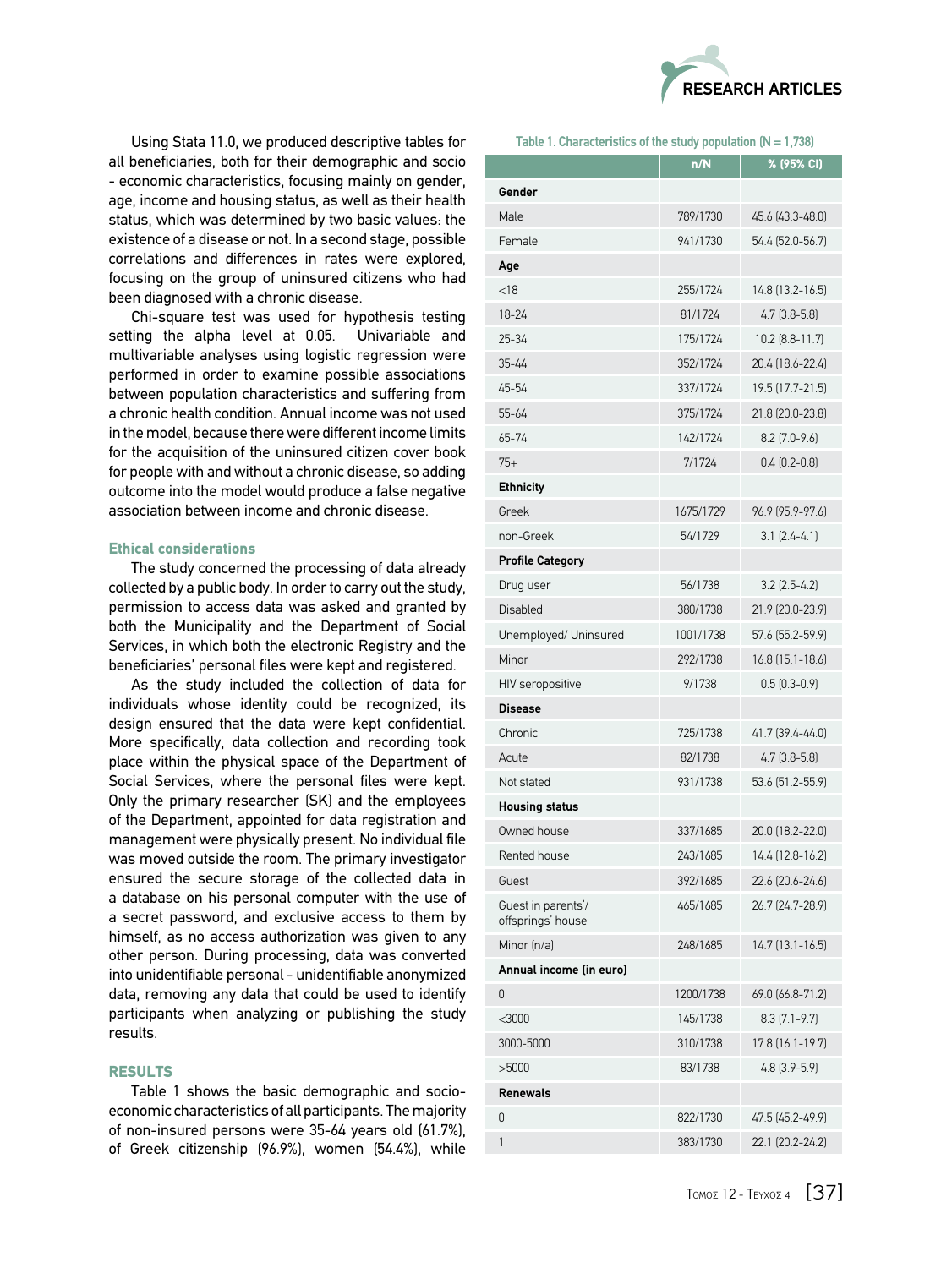

Using Stata 11.0, we produced descriptive tables for all beneficiaries, both for their demographic and socio - economic characteristics, focusing mainly on gender, age, income and housing status, as well as their health status, which was determined by two basic values: the existence of a disease or not. In a second stage, possible correlations and differences in rates were explored, focusing on the group of uninsured citizens who had been diagnosed with a chronic disease.

Chi-square test was used for hypothesis testing setting the alpha level at 0.05. Univariable and multivariable analyses using logistic regression were performed in order to examine possible associations between population characteristics and suffering from a chronic health condition. Annual income was not used in the model, because there were different income limits for the acquisition of the uninsured citizen cover book for people with and without a chronic disease, so adding outcome into the model would produce a false negative association between income and chronic disease.

# Ethical considerations

The study concerned the processing of data already collected by a public body. In order to carry out the study, permission to access data was asked and granted by both the Municipality and the Department of Social Services, in which both the electronic Registry and the beneficiaries' personal files were kept and registered.

As the study included the collection of data for individuals whose identity could be recognized, its design ensured that the data were kept confidential. More specifically, data collection and recording took place within the physical space of the Department of Social Services, where the personal files were kept. Only the primary researcher (SK) and the employees of the Department, appointed for data registration and management were physically present. No individual file was moved outside the room. The primary investigator ensured the secure storage of the collected data in a database on his personal computer with the use of a secret password, and exclusive access to them by himself, as no access authorization was given to any other person. During processing, data was converted into unidentifiable personal - unidentifiable anonymized data, removing any data that could be used to identify participants when analyzing or publishing the study results.

# **RESULTS**

Table 1 shows the basic demographic and socioeconomic characteristics of all participants. The majority of non-insured persons were 35-64 years old (61.7%), of Greek citizenship (96.9%), women (54.4%), while

# **Table 1. Characteristics of the study population (N = 1,738)**

|                                         | n/N       | % (95% CI)            |
|-----------------------------------------|-----------|-----------------------|
| Gender                                  |           |                       |
| Male                                    | 789/1730  | 45.6 (43.3-48.0)      |
| Female                                  | 941/1730  | 54.4 (52.0-56.7)      |
| Age                                     |           |                       |
| < 18                                    | 255/1724  | 14.8 (13.2-16.5)      |
| 18-24                                   | 81/1724   | $4.7$ $(3.8 - 5.8)$   |
| $25 - 34$                               | 175/1724  | $10.2$ $(8.8 - 11.7)$ |
| $35 - 44$                               | 352/1724  | 20.4 (18.6-22.4)      |
| 45-54                                   | 337/1724  | 19.5 (17.7-21.5)      |
| 55-64                                   | 375/1724  | 21.8 (20.0-23.8)      |
| 65-74                                   | 142/1724  | $8.2$ (7.0-9.6)       |
| $75+$                                   | 7/1724    | $0.4$ $(0.2 - 0.8)$   |
| <b>Ethnicity</b>                        |           |                       |
| Greek                                   | 1675/1729 | 96.9 (95.9-97.6)      |
| non-Greek                               | 54/1729   | $3.1$ $(2.4 - 4.1)$   |
| <b>Profile Category</b>                 |           |                       |
| Drug user                               | 56/1738   | $3.2$ (2.5-4.2)       |
| <b>Disabled</b>                         | 380/1738  | 21.9 (20.0-23.9)      |
| Unemployed/ Uninsured                   | 1001/1738 | 57.6 (55.2-59.9)      |
| Minor                                   | 292/1738  | 16.8 (15.1-18.6)      |
| HIV seropositive                        | 9/1738    | $0.5(0.3-0.9)$        |
| <b>Disease</b>                          |           |                       |
| Chronic                                 | 725/1738  | 41.7 (39.4-44.0)      |
| Acute                                   | 82/1738   | $4.7$ $(3.8-5.8)$     |
| Not stated                              | 931/1738  | 53.6 (51.2-55.9)      |
| <b>Housing status</b>                   |           |                       |
| Owned house                             | 337/1685  | 20.0 (18.2-22.0)      |
| Rented house                            | 243/1685  | 14.4 (12.8-16.2)      |
| Guest                                   | 392/1685  | 22.6 (20.6-24.6)      |
| Guest in parents'/<br>offsprings' house | 465/1685  | 26.7 (24.7-28.9)      |
| Minor (n/a)                             | 248/1685  | $14.7(13.1 - 16.5)$   |
| Annual income (in euro)                 |           |                       |
| 0                                       | 1200/1738 | 69.0 (66.8-71.2)      |
| $<$ 3000                                | 145/1738  | $8.3$ (7.1-9.7)       |
| 3000-5000                               | 310/1738  | 17.8 (16.1-19.7)      |
| >5000                                   | 83/1738   | $4.8$ $(3.9 - 5.9)$   |
| <b>Renewals</b>                         |           |                       |
| 0                                       | 822/1730  | 47.5 (45.2-49.9)      |
| 1                                       | 383/1730  | 22.1 (20.2-24.2)      |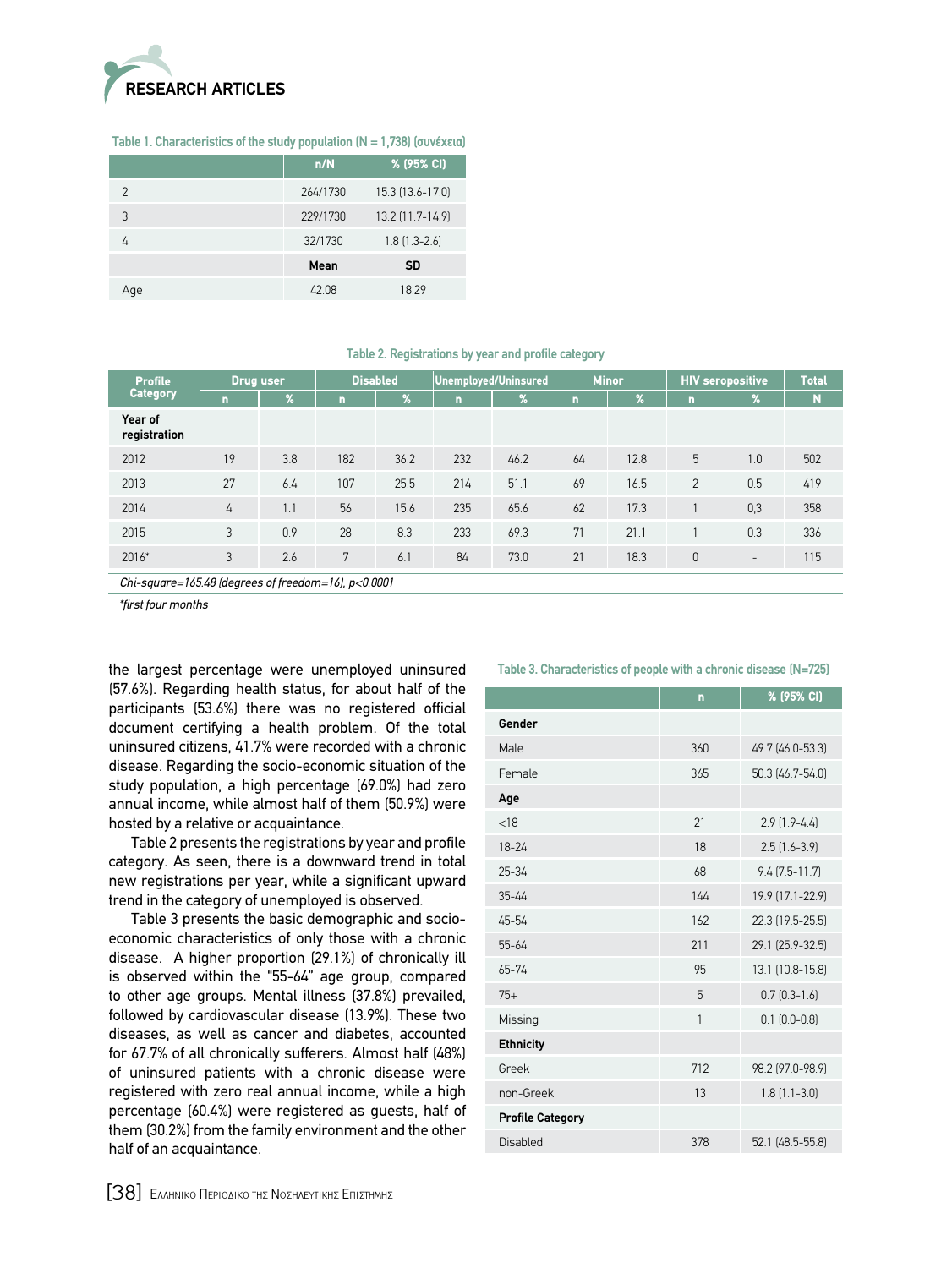

## **Table 1. Characteristics of the study population (N = 1,738) (συνέχεια)**

|     | n/N      | % (95% CI)          |
|-----|----------|---------------------|
| 2   | 264/1730 | 15.3 (13.6-17.0)    |
| 3   | 229/1730 | 13.2 (11.7-14.9)    |
|     | 32/1730  | $1.8$ $[1.3 - 2.6]$ |
|     | Mean     | <b>SD</b>           |
| Aqe | 42 N.    | 18.29               |

#### **Table 2. Registrations by year and profile category**

| <b>Drug user</b><br><b>Profile</b>                    |    |     | <b>Disabled</b> |               |     | Unemployed/Uninsured |             | <b>Minor</b> |                | <b>HIV seropositive</b>  | <b>Total</b> |
|-------------------------------------------------------|----|-----|-----------------|---------------|-----|----------------------|-------------|--------------|----------------|--------------------------|--------------|
| <b>Category</b>                                       | n  | 1%  | n               | $\frac{9}{6}$ | n   | $\%$                 | $\mathbf n$ | %            | $\overline{ }$ | $\%$                     | $\mathbf N$  |
| Year of<br>registration                               |    |     |                 |               |     |                      |             |              |                |                          |              |
| 2012                                                  | 19 | 3.8 | 182             | 36.2          | 232 | 46.2                 | 64          | 12.8         | 5              | 1.0                      | 502          |
| 2013                                                  | 27 | 6.4 | 107             | 25.5          | 214 | 51.1                 | 69          | 16.5         | 2              | 0.5                      | 419          |
| 2014                                                  | 4  | 1.1 | 56              | 15.6          | 235 | 65.6                 | 62          | 17.3         |                | 0,3                      | 358          |
| 2015                                                  | 3  | 0.9 | 28              | 8.3           | 233 | 69.3                 | 71          | 21.1         |                | 0.3                      | 336          |
| 2016*                                                 | 3  | 2.6 | 7               | 6.1           | 84  | 73.0                 | 21          | 18.3         | $\mathbf{0}$   | $\overline{\phantom{a}}$ | 115          |
| Chi-square=165.48 (degrees of freedom=16), $p<0.0001$ |    |     |                 |               |     |                      |             |              |                |                          |              |

*\*first four months*

the largest percentage were unemployed uninsured (57.6%). Regarding health status, for about half of the participants (53.6%) there was no registered official document certifying a health problem. Of the total uninsured citizens, 41.7% were recorded with a chronic disease. Regarding the socio-economic situation of the study population, a high percentage (69.0%) had zero annual income, while almost half of them (50.9%) were hosted by a relative or acquaintance.

Table 2 presents the registrations by year and profile category. As seen, there is a downward trend in total new registrations per year, while a significant upward trend in the category of unemployed is observed.

Table 3 presents the basic demographic and socioeconomic characteristics of only those with a chronic disease. A higher proportion (29.1%) of chronically ill is observed within the "55-64" age group, compared to other age groups. Mental illness (37.8%) prevailed, followed by cardiovascular disease (13.9%). These two diseases, as well as cancer and diabetes, accounted for 67.7% of all chronically sufferers. Almost half (48%) of uninsured patients with a chronic disease were registered with zero real annual income, while a high percentage (60.4%) were registered as guests, half of them (30.2%) from the family environment and the other half of an acquaintance.

|                         | n   | % (95% CI)          |
|-------------------------|-----|---------------------|
| Gender                  |     |                     |
| Male                    | 360 | 49.7 (46.0-53.3)    |
| Female                  | 365 | 50.3 (46.7-54.0)    |
| Age                     |     |                     |
| < 18                    | 21  | $2.9$ $[1.9-4.4]$   |
| 18-24                   | 18  | $2.5$ $(1.6 - 3.9)$ |
| $25 - 34$               | 68  | $9.4(7.5 - 11.7)$   |
| $35 - 44$               | 144 | 19.9 (17.1-22.9)    |
| 45-54                   | 162 | 22.3 (19.5-25.5)    |
| $55 - 64$               | 211 | 29.1 (25.9-32.5)    |
| $65 - 74$               | 95  | 13.1 (10.8-15.8)    |
| $75+$                   | 5   | $0.7$ $[0.3 - 1.6]$ |
| Missing                 | 1   | $0.1$ $(0.0 - 0.8)$ |
| <b>Ethnicity</b>        |     |                     |
| Greek                   | 712 | 98.2 (97.0-98.9)    |
| non-Greek               | 13  | $1.8(1.1 - 3.0)$    |
| <b>Profile Category</b> |     |                     |
| Disabled                | 378 | 52.1 (48.5-55.8)    |

**Table 3. Characteristics of people with a chronic disease (N=725)**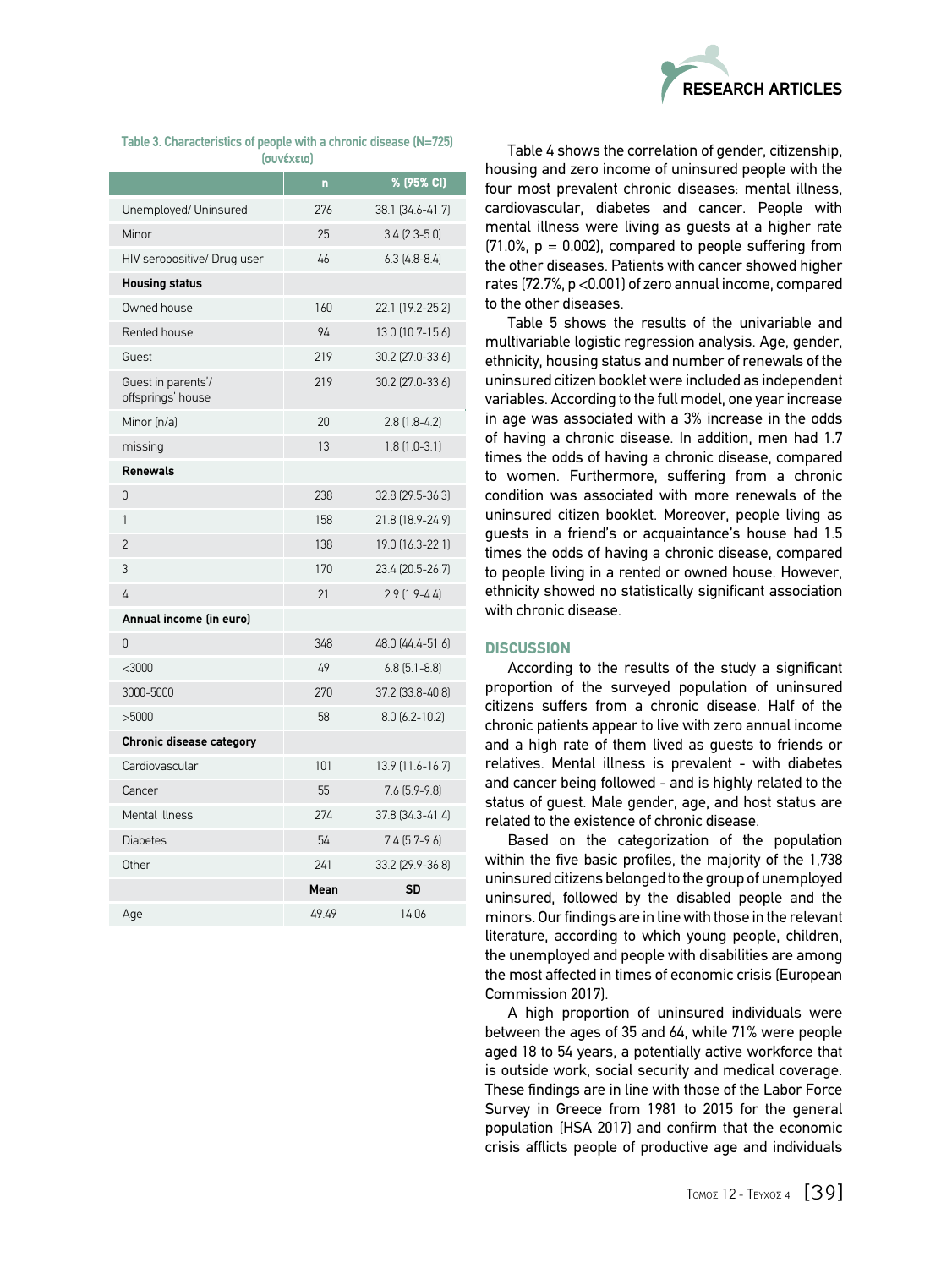

| Table 3. Characteristics of people with a chronic disease (N=725) |                   |  |  |
|-------------------------------------------------------------------|-------------------|--|--|
|                                                                   | <i>(συνέχεια)</i> |  |  |

|                                         | n           | % (95% CI)           |
|-----------------------------------------|-------------|----------------------|
| Unemployed/ Uninsured                   | 276         | 38.1 (34.6-41.7)     |
| Minor                                   | 25          | $3.4$ (2.3-5.0)      |
| HIV seropositive/ Drug user             | 46          | $6.3$ [4.8-8.4]      |
| <b>Housing status</b>                   |             |                      |
| Owned house                             | 160         | 22.1 (19.2-25.2)     |
| Rented house                            | 94          | 13.0 (10.7-15.6)     |
| Guest                                   | 219         | 30.2 (27.0-33.6)     |
| Guest in parents'/<br>offsprings' house | 219         | 30.2 (27.0-33.6)     |
| Minor (n/a)                             | 20          | $2.8$ $(1.8-4.2)$    |
| missing                                 | 13          | $1.8(1.0-3.1)$       |
| <b>Renewals</b>                         |             |                      |
| 0                                       | 238         | 32.8 (29.5-36.3)     |
| 1                                       | 158         | 21.8 (18.9-24.9)     |
| 2                                       | 138         | 19.0 (16.3-22.1)     |
| 3                                       | 170         | 23.4 (20.5-26.7)     |
| 4                                       | 21          | $2.9$ $[1.9-4.4]$    |
| Annual income (in euro)                 |             |                      |
| U                                       | 348         | 48.0 (44.4-51.6)     |
| $<$ 3000                                | 49          | $6.8$ $(5.1 - 8.8)$  |
| 3000-5000                               | 270         | 37.2 (33.8-40.8)     |
| >5000                                   | 58          | $8.0$ $(6.2 - 10.2)$ |
| <b>Chronic disease category</b>         |             |                      |
| Cardiovascular                          | 101         | 13.9 (11.6-16.7)     |
| Cancer                                  | 55          | $7.6$ $(5.9 - 9.8)$  |
| Mental illness                          | 274         | 37.8 (34.3-41.4)     |
| <b>Diabetes</b>                         | 54          | $7.4$ $(5.7-9.6)$    |
| Other                                   | 241         | 33.2 (29.9-36.8)     |
|                                         | <b>Mean</b> | SD                   |
| Age                                     | 49.49       | 14.06                |

Table 4 shows the correlation of gender, citizenship, housing and zero income of uninsured people with the four most prevalent chronic diseases: mental illness, cardiovascular, diabetes and cancer. People with mental illness were living as guests at a higher rate  $(71.0\% , p = 0.002)$ , compared to people suffering from the other diseases. Patients with cancer showed higher rates (72.7%, p <0.001) of zero annual income, compared to the other diseases.

Table 5 shows the results of the univariable and multivariable logistic regression analysis. Age, gender, ethnicity, housing status and number of renewals of the uninsured citizen booklet were included as independent variables. According to the full model, one year increase in age was associated with a 3% increase in the odds of having a chronic disease. In addition, men had 1.7 times the odds of having a chronic disease, compared to women. Furthermore, suffering from a chronic condition was associated with more renewals of the uninsured citizen booklet. Moreover, people living as guests in a friend's or acquaintance's house had 1.5 times the odds of having a chronic disease, compared to people living in a rented or owned house. However, ethnicity showed no statistically significant association with chronic disease.

# **DISCUSSION**

According to the results of the study a significant proportion of the surveyed population of uninsured citizens suffers from a chronic disease. Half of the chronic patients appear to live with zero annual income and a high rate of them lived as guests to friends or relatives. Mental illness is prevalent - with diabetes and cancer being followed - and is highly related to the status of guest. Male gender, age, and host status are related to the existence of chronic disease.

Based on the categorization of the population within the five basic profiles, the majority of the 1,738 uninsured citizens belonged to the group of unemployed uninsured, followed by the disabled people and the minors. Our findings are in line with those in the relevant literature, according to which young people, children, the unemployed and people with disabilities are among the most affected in times of economic crisis (European Commission 2017).

A high proportion of uninsured individuals were between the ages of 35 and 64, while 71% were people aged 18 to 54 years, a potentially active workforce that is outside work, social security and medical coverage. These findings are in line with those of the Labor Force Survey in Greece from 1981 to 2015 for the general population (HSA 2017) and confirm that the economic crisis afflicts people of productive age and individuals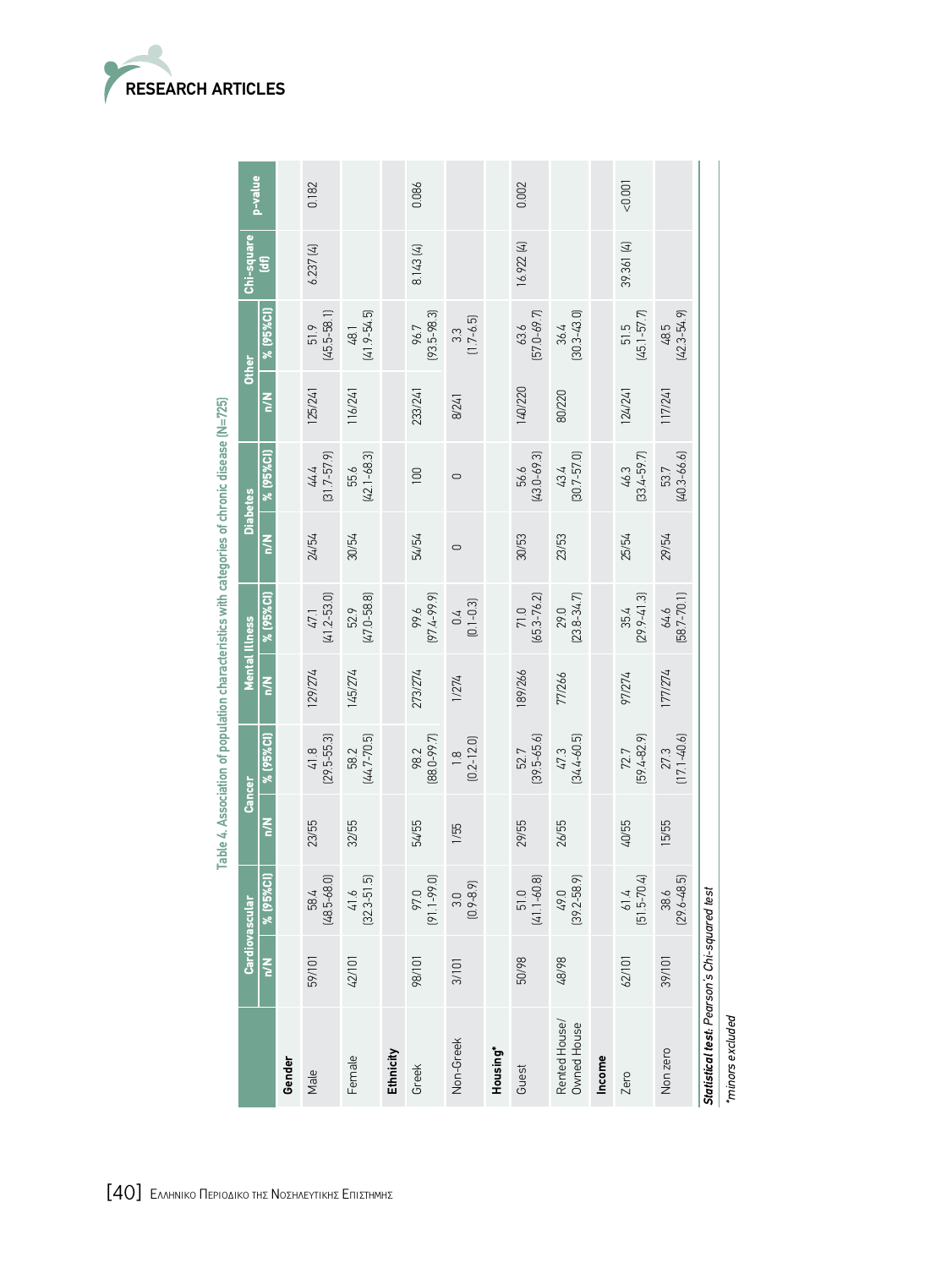

|                                              |               | Cardiovascular          |              | Cancer                  |         | <b>Mental Illness</b>     |         | <b>Diabetes</b>           |         | <b>Other</b>          | Chi-square |         |
|----------------------------------------------|---------------|-------------------------|--------------|-------------------------|---------|---------------------------|---------|---------------------------|---------|-----------------------|------------|---------|
|                                              | $\frac{z}{c}$ | % (95%CI)               | $\leq$       | % (95%CI)               | $\leq$  | % (95%CI)                 | $\leq$  | % (95%CI)                 | $\leq$  | % (95%CI)             | E          | p-value |
| Gender                                       |               |                         |              |                         |         |                           |         |                           |         |                       |            |         |
| Male                                         | 59/101        | $(48.5 - 68.0)$<br>58.4 | 23/55        | $418$<br>$(29.5-55.3)$  | 129/274 | $47.1$<br>$(41.2 - 53.0)$ | 24/54   | $44.4$<br>[31.7-57.9]     | 125/241 | 51.9<br>(45.5-58.1)   | 6.237 (4)  | 0.182   |
| Female                                       | 42/101        | $(32.3 - 51.5)$<br>41.6 | 32/55        | $(44.7 - 70.5)$<br>58.2 | 145/274 | 52.9<br>(47.0-58.8)       | 30/54   | 55.6<br>(42.1–68.3)       | 116/241 | 48.1<br>(41.9-54.5)   |            |         |
| Ethnicity                                    |               |                         |              |                         |         |                           |         |                           |         |                       |            |         |
| Greek                                        | 98/101        | $(91.1 - 99.0)$<br>97.0 | <b>SE/7S</b> | $(88.0 - 99.7)$<br>98.2 | 273/274 | 99.6<br>(97.4-99.9)       | 54/54   | $\overline{100}$          | 233/241 | 96.7<br>(93.5-98.3)   | 8.143 (4)  | 0.086   |
| Non-Greek                                    | 3/101         | $(0.9 - 8.9)$<br>3.0    | 1/55         | $1.8$<br>$(0.2 - 12.0)$ | 1/274   | $0.4$<br>$(0.1 - 0.3)$    | $\circ$ | $\cup$                    | 8/241   | $3.3$<br>(1.7-6.5)    |            |         |
| Housing*                                     |               |                         |              |                         |         |                           |         |                           |         |                       |            |         |
| Guest                                        | 50/98         | $(41.1 - 60.8)$<br>51.0 | 29/55        | $(39.5 - 65.6)$<br>52.7 | 189/266 | 71.0<br>(65.3-76.2)       | 30/53   | 56.6<br>(43.0-69.3)       | 140/220 | 63.6<br>[57.0-69.7]   | 16.922 (4) | 0.002   |
| Rented House/<br>Owned House                 | 48/98         | $(39.2 - 58.9)$<br>49.0 | 26/55        | $[34.4 - 60.5]$<br>47.3 | 77/266  | 29.0<br>[23.8-34.7]       | 23/53   | $43.4$<br>$(30.7 - 57.0)$ | 80/220  | $36.4$<br>[30.3-43.0] |            |         |
| Income                                       |               |                         |              |                         |         |                           |         |                           |         |                       |            |         |
| Zero                                         | 62/101        | $61.4$<br>[51.5-70.4]   | 40/55        | $72.7$<br>[59.4-82.9]   | 97/274  | $35.4$<br>$(29.9-41.3)$   | 25/54   | $46.3$<br>(33.4-59.7)     | 124/241 | 51.5<br>(45.1-57.7)   | 39.361 [4] | 10000   |
| Non zero                                     | 39/101        | $[29.6 - 48.5]$<br>38.6 | 15/55        | $(17.1 - 40.6)$<br>27.3 | 177/274 | $64.6$<br>[58.7-70.1]     | 29/54   | 53.7<br>(40.3-66.6)       | 117/241 | 48.5<br>(42.3-54.9)   |            |         |
| Statistical test: Pearson's Chi-squared test |               |                         |              |                         |         |                           |         |                           |         |                       |            |         |
| iminors excluded                             |               |                         |              |                         |         |                           |         |                           |         |                       |            |         |

Table 4. Association of population characteristics with categories of chronic disease (N=725) **Table 4. Association of population characteristics with categories of chronic disease (N=725)**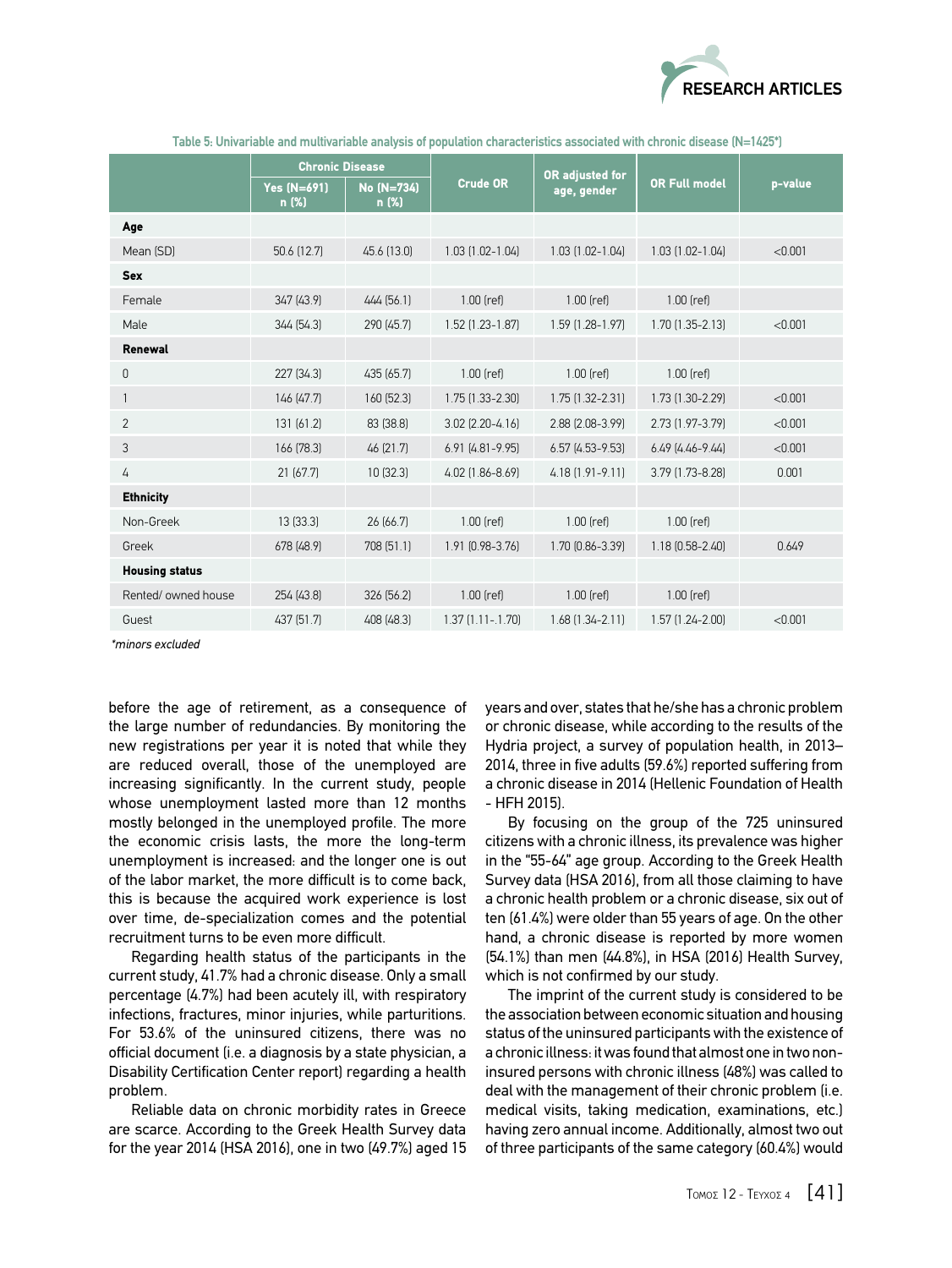

|                       | <b>Chronic Disease</b>      |                     |                        |                                |                        |         |
|-----------------------|-----------------------------|---------------------|------------------------|--------------------------------|------------------------|---------|
|                       | <b>Yes (N=691)</b><br>n (%) | No (N=734)<br>n (%) | <b>Crude OR</b>        | OR adjusted for<br>age, gender | <b>OR Full model</b>   | p-value |
| Age                   |                             |                     |                        |                                |                        |         |
| Mean (SD)             | 50.6 (12.7)                 | 45.6 (13.0)         | 1.03 (1.02-1.04)       | $1.03$ $(1.02 - 1.04)$         | $1.03$ $(1.02 - 1.04)$ | < 0.001 |
| <b>Sex</b>            |                             |                     |                        |                                |                        |         |
| Female                | 347 (43.9)                  | 444 (56.1)          | $1.00$ (ref)           | $1.00$ (ref)                   | $1.00$ (ref)           |         |
| Male                  | 344 (54.3)                  | 290 (45.7)          | 1.52 (1.23-1.87)       | 1.59 (1.28-1.97)               | $1.70$ $(1.35 - 2.13)$ | < 0.001 |
| Renewal               |                             |                     |                        |                                |                        |         |
| 0                     | 227 (34.3)                  | 435 (65.7)          | 1.00 (ref)             | $1.00$ (ref)                   | $1.00$ (ref)           |         |
|                       | 146 (47.7)                  | 160 (52.3)          | 1.75 (1.33-2.30)       | 1.75 (1.32-2.31)               | 1.73 (1.30-2.29)       | < 0.001 |
| $\overline{2}$        | 131 (61.2)                  | 83 (38.8)           | 3.02 (2.20-4.16)       | 2.88 (2.08-3.99)               | 2.73 (1.97-3.79)       | < 0.001 |
| 3                     | 166 (78.3)                  | 46 (21.7)           | $6.91$ $(4.81 - 9.95)$ | $6.57$ $(4.53 - 9.53)$         | $6.49$ $(4.46 - 9.44)$ | < 0.001 |
| 4                     | 21(67.7)                    | 10(32.3)            | 4.02 (1.86-8.69)       | 4.18 (1.91-9.11)               | 3.79 (1.73-8.28)       | 0.001   |
| <b>Ethnicity</b>      |                             |                     |                        |                                |                        |         |
| Non-Greek             | 13(33.3)                    | 26 (66.7)           | $1.00$ (ref)           | $1.00$ (ref)                   | $1.00$ (ref)           |         |
| Greek                 | 678 (48.9)                  | 708 (51.1)          | 1.91 (0.98-3.76)       | 1.70 (0.86-3.39)               | 1.18 (0.58-2.40)       | 0.649   |
| <b>Housing status</b> |                             |                     |                        |                                |                        |         |
| Rented/owned house    | 254 (43.8)                  | 326 (56.2)          | $1.00$ (ref)           | $1.00$ (ref)                   | $1.00$ (ref)           |         |
| Guest                 | 437 (51.7)                  | 408 (48.3)          | $1.37$ $(1.11 - 1.70)$ | $1.68$ $(1.34 - 2.11)$         | $1.57$ $(1.24 - 2.00)$ | < 0.001 |

 **Table 5: Univariable and multivariable analysis of population characteristics associated with chronic disease (N=1425\*)**

*\*minors excluded*

before the age of retirement, as a consequence of the large number of redundancies. By monitoring the new registrations per year it is noted that while they are reduced overall, those of the unemployed are increasing significantly. In the current study, people whose unemployment lasted more than 12 months mostly belonged in the unemployed profile. The more the economic crisis lasts, the more the long-term unemployment is increased: and the longer one is out of the labor market, the more difficult is to come back, this is because the acquired work experience is lost over time, de-specialization comes and the potential recruitment turns to be even more difficult.

Regarding health status of the participants in the current study, 41.7% had a chronic disease. Only a small percentage (4.7%) had been acutely ill, with respiratory infections, fractures, minor injuries, while parturitions. For 53.6% of the uninsured citizens, there was no official document (i.e. a diagnosis by a state physician, a Disability Certification Center report) regarding a health problem.

Reliable data on chronic morbidity rates in Greece are scarce. According to the Greek Health Survey data for the year 2014 (HSA 2016), one in two (49.7%) aged 15 years and over, states that he/she has a chronic problem or chronic disease, while according to the results of the Hydria project, a survey of population health, in 2013– 2014, three in five adults (59.6%) reported suffering from a chronic disease in 2014 (Hellenic Foundation of Health - HFH 2015).

By focusing on the group of the 725 uninsured citizens with a chronic illness, its prevalence was higher in the "55-64" age group. According to the Greek Health Survey data (HSA 2016), from all those claiming to have a chronic health problem or a chronic disease, six out of ten (61.4%) were older than 55 years of age. On the other hand, a chronic disease is reported by more women (54.1%) than men (44.8%), in HSA (2016) Health Survey, which is not confirmed by our study.

The imprint of the current study is considered to be the association between economic situation and housing status of the uninsured participants with the existence of a chronic illness: it was found that almost one in two noninsured persons with chronic illness (48%) was called to deal with the management of their chronic problem (i.e. medical visits, taking medication, examinations, etc.) having zero annual income. Additionally, almost two out of three participants of the same category (60.4%) would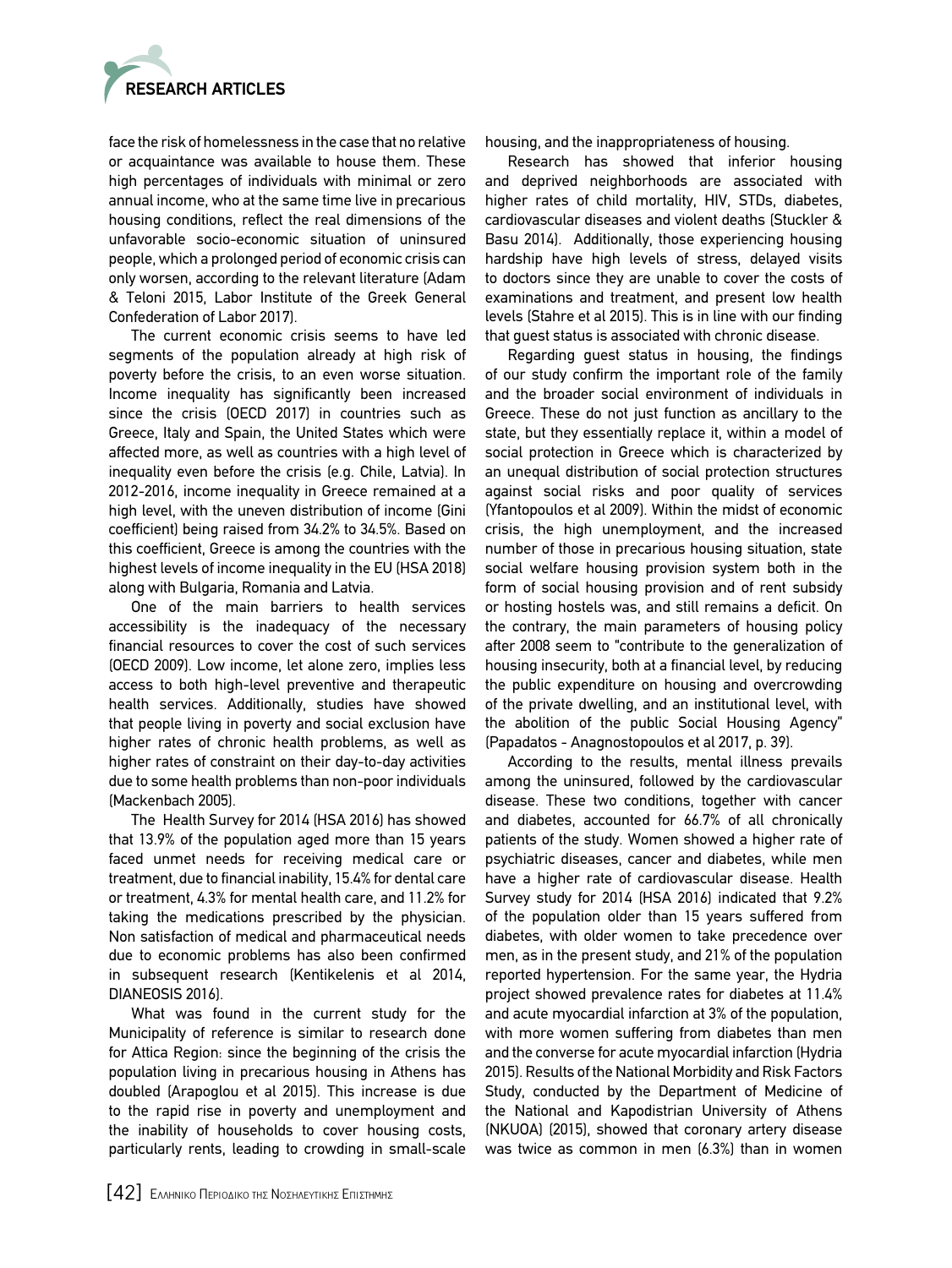

face the risk of homelessness in the case that no relative or acquaintance was available to house them. These high percentages of individuals with minimal or zero annual income, who at the same time live in precarious housing conditions, reflect the real dimensions of the unfavorable socio-economic situation of uninsured people, which a prolonged period of economic crisis can only worsen, according to the relevant literature (Adam & Teloni 2015, Labor Institute of the Greek General Confederation of Labor 2017).

The current economic crisis seems to have led segments of the population already at high risk of poverty before the crisis, to an even worse situation. Income inequality has significantly been increased since the crisis (OECD 2017) in countries such as Greece, Italy and Spain, the United States which were affected more, as well as countries with a high level of inequality even before the crisis (e.g. Chile, Latvia). In 2012-2016, income inequality in Greece remained at a high level, with the uneven distribution of income (Gini coefficient) being raised from 34.2% to 34.5%. Based on this coefficient, Greece is among the countries with the highest levels of income inequality in the EU (HSA 2018) along with Bulgaria, Romania and Latvia.

One of the main barriers to health services accessibility is the inadequacy of the necessary financial resources to cover the cost of such services (OECD 2009). Low income, let alone zero, implies less access to both high-level preventive and therapeutic health services. Additionally, studies have showed that people living in poverty and social exclusion have higher rates of chronic health problems, as well as higher rates of constraint on their day-to-day activities due to some health problems than non-poor individuals (Mackenbach 2005).

The Health Survey for 2014 (HSA 2016) has showed that 13.9% of the population aged more than 15 years faced unmet needs for receiving medical care or treatment, due to financial inability, 15.4% for dental care or treatment, 4.3% for mental health care, and 11.2% for taking the medications prescribed by the physician. Non satisfaction of medical and pharmaceutical needs due to economic problems has also been confirmed in subsequent research (Kentikelenis et al 2014, DIANEOSIS 2016).

What was found in the current study for the Municipality of reference is similar to research done for Attica Region: since the beginning of the crisis the population living in precarious housing in Athens has doubled (Arapoglou et al 2015). This increase is due to the rapid rise in poverty and unemployment and the inability of households to cover housing costs, particularly rents, leading to crowding in small-scale

housing, and the inappropriateness of housing.

Research has showed that inferior housing and deprived neighborhoods are associated with higher rates of child mortality, HIV, STDs, diabetes, cardiovascular diseases and violent deaths (Stuckler & Basu 2014). Additionally, those experiencing housing hardship have high levels of stress, delayed visits to doctors since they are unable to cover the costs of examinations and treatment, and present low health levels (Stahre et al 2015). This is in line with our finding that guest status is associated with chronic disease.

Regarding guest status in housing, the findings of our study confirm the important role of the family and the broader social environment of individuals in Greece. These do not just function as ancillary to the state, but they essentially replace it, within a model of social protection in Greece which is characterized by an unequal distribution of social protection structures against social risks and poor quality of services (Yfantopoulos et al 2009). Within the midst of economic crisis, the high unemployment, and the increased number of those in precarious housing situation, state social welfare housing provision system both in the form of social housing provision and of rent subsidy or hosting hostels was, and still remains a deficit. On the contrary, the main parameters of housing policy after 2008 seem to "contribute to the generalization of housing insecurity, both at a financial level, by reducing the public expenditure on housing and overcrowding of the private dwelling, and an institutional level, with the abolition of the public Social Housing Agency" (Papadatos - Anagnostopoulos et al 2017, p. 39).

According to the results, mental illness prevails among the uninsured, followed by the cardiovascular disease. These two conditions, together with cancer and diabetes, accounted for 66.7% of all chronically patients of the study. Women showed a higher rate of psychiatric diseases, cancer and diabetes, while men have a higher rate of cardiovascular disease. Health Survey study for 2014 (HSA 2016) indicated that 9.2% of the population older than 15 years suffered from diabetes, with older women to take precedence over men, as in the present study, and 21% of the population reported hypertension. For the same year, the Hydria project showed prevalence rates for diabetes at 11.4% and acute myocardial infarction at 3% of the population, with more women suffering from diabetes than men and the converse for acute myocardial infarction (Hydria 2015). Results of the National Morbidity and Risk Factors Study, conducted by the Department of Medicine of the National and Kapodistrian University of Athens (NKUOA) (2015), showed that coronary artery disease was twice as common in men (6.3%) than in women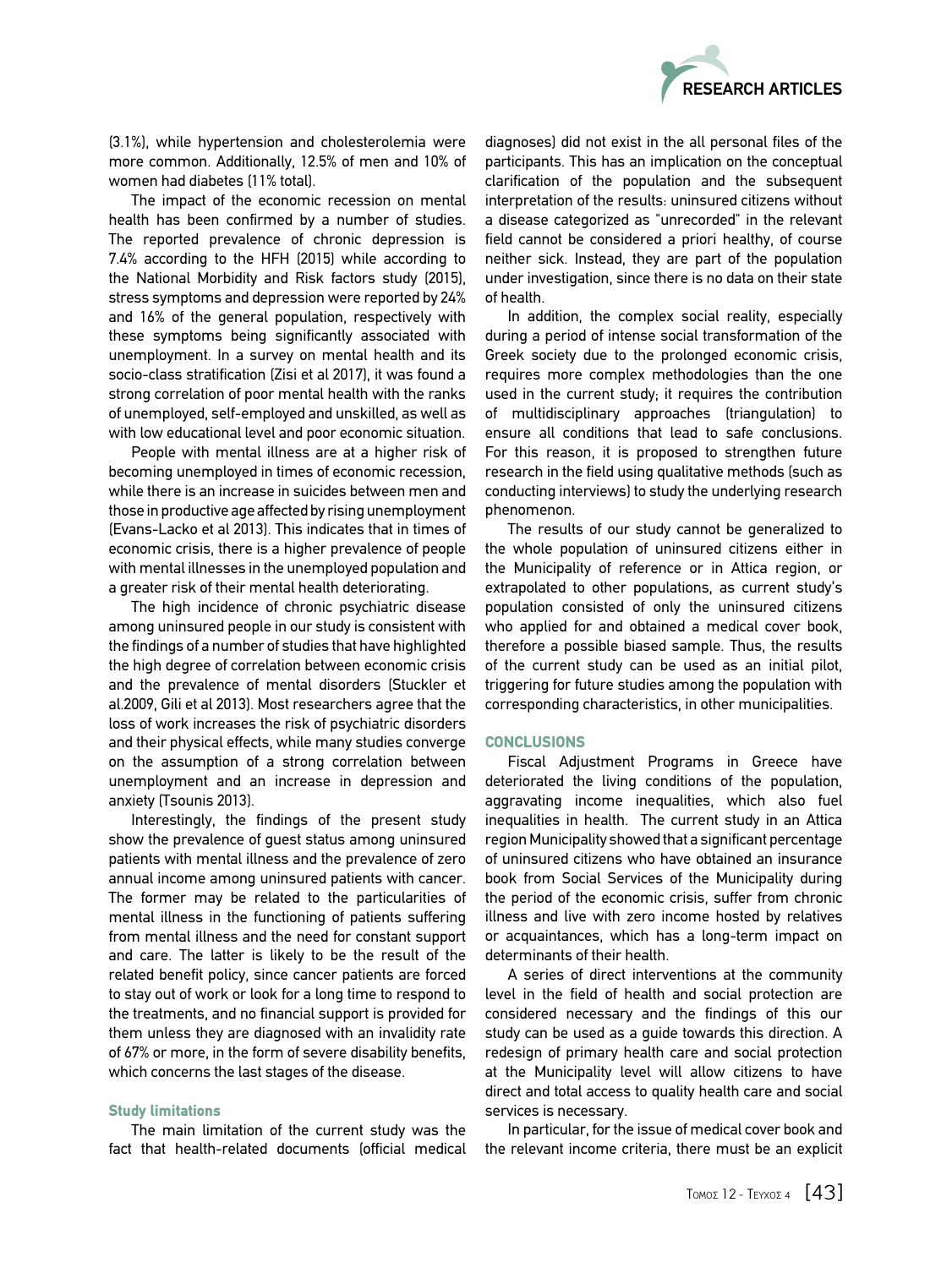

(3.1%), while hypertension and cholesterolemia were more common. Additionally, 12.5% of men and 10% of women had diabetes (11% total).

The impact of the economic recession on mental health has been confirmed by a number of studies. The reported prevalence of chronic depression is 7.4% according to the HFH (2015) while according to the National Morbidity and Risk factors study (2015), stress symptoms and depression were reported by 24% and 16% of the general population, respectively with these symptoms being significantly associated with unemployment. In a survey on mental health and its socio-class stratification (Zisi et al 2017), it was found a strong correlation of poor mental health with the ranks of unemployed, self-employed and unskilled, as well as with low educational level and poor economic situation.

People with mental illness are at a higher risk of becoming unemployed in times of economic recession, while there is an increase in suicides between men and those in productive age affected by rising unemployment (Evans-Lacko et al 2013). This indicates that in times of economic crisis, there is a higher prevalence of people with mental illnesses in the unemployed population and a greater risk of their mental health deteriorating.

The high incidence of chronic psychiatric disease among uninsured people in our study is consistent with the findings of a number of studies that have highlighted the high degree of correlation between economic crisis and the prevalence of mental disorders (Stuckler et al.2009, Gili et al 2013). Most researchers agree that the loss of work increases the risk of psychiatric disorders and their physical effects, while many studies converge on the assumption of a strong correlation between unemployment and an increase in depression and anxiety (Tsounis 2013).

Interestingly, the findings of the present study show the prevalence of guest status among uninsured patients with mental illness and the prevalence of zero annual income among uninsured patients with cancer. The former may be related to the particularities of mental illness in the functioning of patients suffering from mental illness and the need for constant support and care. The latter is likely to be the result of the related benefit policy, since cancer patients are forced to stay out of work or look for a long time to respond to the treatments, and no financial support is provided for them unless they are diagnosed with an invalidity rate of 67% or more, in the form of severe disability benefits, which concerns the last stages of the disease.

# Study limitations

The main limitation of the current study was the fact that health-related documents (official medical diagnoses) did not exist in the all personal files of the participants. This has an implication on the conceptual clarification of the population and the subsequent interpretation of the results: uninsured citizens without a disease categorized as "unrecorded" in the relevant field cannot be considered a priori healthy, of course neither sick. Instead, they are part of the population under investigation, since there is no data on their state of health.

In addition, the complex social reality, especially during a period of intense social transformation of the Greek society due to the prolonged economic crisis, requires more complex methodologies than the one used in the current study; it requires the contribution of multidisciplinary approaches (triangulation) to ensure all conditions that lead to safe conclusions. For this reason, it is proposed to strengthen future research in the field using qualitative methods (such as conducting interviews) to study the underlying research phenomenon.

The results of our study cannot be generalized to the whole population of uninsured citizens either in the Municipality of reference or in Attica region, or extrapolated to other populations, as current study's population consisted of only the uninsured citizens who applied for and obtained a medical cover book, therefore a possible biased sample. Thus, the results of the current study can be used as an initial pilot, triggering for future studies among the population with corresponding characteristics, in other municipalities.

#### **CONCLUSIONS**

Fiscal Adjustment Programs in Greece have deteriorated the living conditions of the population, aggravating income inequalities, which also fuel inequalities in health. The current study in an Attica region Municipality showed that a significant percentage of uninsured citizens who have obtained an insurance book from Social Services of the Municipality during the period of the economic crisis, suffer from chronic illness and live with zero income hosted by relatives or acquaintances, which has a long-term impact on determinants of their health.

A series of direct interventions at the community level in the field of health and social protection are considered necessary and the findings of this our study can be used as a guide towards this direction. A redesign of primary health care and social protection at the Municipality level will allow citizens to have direct and total access to quality health care and social services is necessary.

In particular, for the issue of medical cover book and the relevant income criteria, there must be an explicit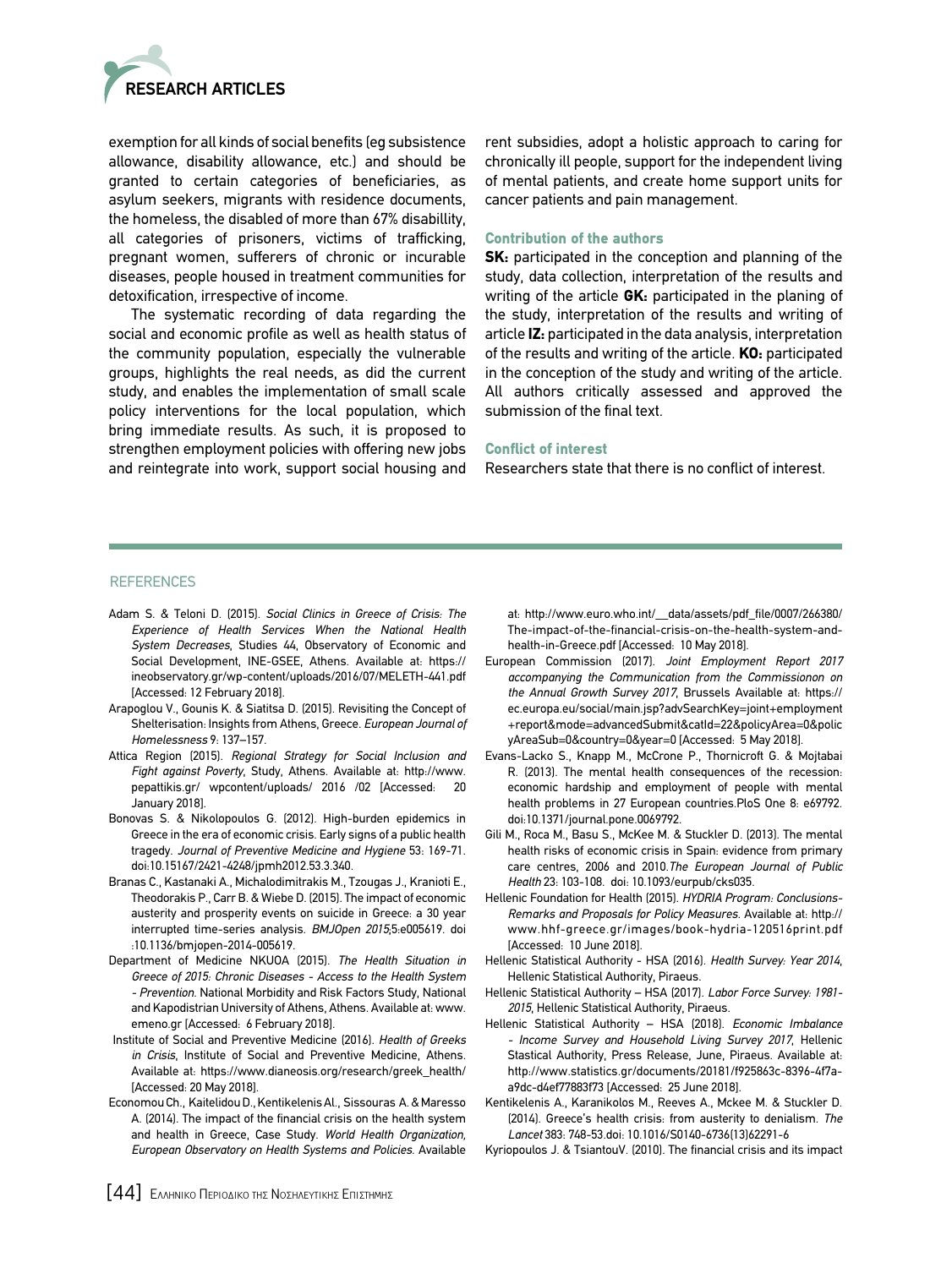

exemption for all kinds of social benefits (eg subsistence allowance, disability allowance, etc.) and should be granted to certain categories of beneficiaries, as asylum seekers, migrants with residence documents, the homeless, the disabled of more than 67% disabillity, all categories of prisoners, victims of trafficking, pregnant women, sufferers of chronic or incurable diseases, people housed in treatment communities for detoxification, irrespective of income.

The systematic recording of data regarding the social and economic profile as well as health status of the community population, especially the vulnerable groups, highlights the real needs, as did the current study, and enables the implementation of small scale policy interventions for the local population, which bring immediate results. As such, it is proposed to strengthen employment policies with offering new jobs and reintegrate into work, support social housing and rent subsidies, adopt a holistic approach to caring for chronically ill people, support for the independent living of mental patients, and create home support units for cancer patients and pain management.

#### Contribution of the authors

SK: participated in the conception and planning of the study, data collection, interpretation of the results and writing of the article  $GK$ : participated in the planing of the study, interpretation of the results and writing of article IZ: participated in the data analysis, interpretation of the results and writing of the article. KO: participated in the conception of the study and writing of the article. All authors critically assessed and approved the submission of the final text.

#### Conflict of interest

Researchers state that there is no conflict of interest.

#### **REFERENCES**

- Adam S. & Teloni D. (2015). *Social Clinics in Greece of Crisis: The Experience of Health Services When the National Health System Decreases*, Studies 44, Observatory of Economic and Social Development, INE-GSEE, Athens. Available at: https:// ineobservatory.gr/wp-content/uploads/2016/07/MELETH-441.pdf [Accessed: 12 February 2018].
- Arapoglou V., Gounis K. & Siatitsa D. (2015). Revisiting the Concept of Shelterisation: Insights from Athens, Greece. *European Journal of Homelessness* 9: 137–157.
- Attica Region (2015). *Regional Strategy for Social Inclusion and Fight against Poverty*, Study, Athens. Available at: http://www. pepattikis.gr/ wpcontent/uploads/ 2016 /02 [Accessed: 20 January 2018].
- Bonovas S. & Nikolopoulos G. (2012). High-burden epidemics in Greece in the era of economic crisis. Early signs of a public health tragedy. *Journal of Preventive Medicine and Hygiene* 53: 169-71. doi:10.15167/2421-4248/jpmh2012.53.3.340.
- Branas C., Kastanaki A., Michalodimitrakis M., Tzougas J., Kranioti E., Theodorakis P., Carr B. & Wiebe D. (2015). The impact of economic austerity and prosperity events on suicide in Greece: a 30 year interrupted time-series analysis. *BMJOpen 2015*;5:e005619. doi :10.1136/bmjopen-2014-005619.
- Department of Medicine NKUOA (2015). *The Health Situation in Greece of 2015: Chronic Diseases - Access to the Health System - Prevention.* National Morbidity and Risk Factors Study, National and Kapodistrian University of Athens, Athens. Available at: www. emeno.gr [Αccessed: 6 February 2018].
- Institute of Social and Preventive Medicine (2016). *Health of Greeks in Crisis*, Institute of Social and Preventive Medicine, Athens. Available at: https://www.dianeosis.org/research/greek\_health/ [Accessed: 20 May 2018].
- Economou Ch., Kaitelidou D., Kentikelenis Al., Sissouras A. & Maresso Α. (2014). The impact of the financial crisis on the health system and health in Greece, Case Study. *World Health Organization, European Observatory on Health Systems and Policies.* Available

at: http://www.euro.who.int/\_\_data/assets/pdf\_file/0007/266380/ The-impact-of-the-financial-crisis-on-the-health-system-andhealth-in-Greece.pdf [Accessed: 10 May 2018].

- European Commission (2017). *Joint Employment Report 2017 accompanying the Communication from the Commissionon on the Annual Growth Survey 2017*, Brussels Available at: https:// ec.europa.eu/social/main.jsp?advSearchKey=joint+employment +report&mode=advancedSubmit&catId=22&policyArea=0&polic yAreaSub=0&country=0&year=0 [Accessed: 5 May 2018].
- Evans-Lacko S., Knapp M., McCrone P., Thornicroft G. & Mojtabai R. (2013). The mental health consequences of the recession: economic hardship and employment of people with mental health problems in 27 European countries.PloS One 8: e69792. doi:10.1371/journal.pone.0069792.
- Gili M., Roca M., Basu S., McKee M. & Stuckler D. (2013). The mental health risks of economic crisis in Spain: evidence from primary care centres, 2006 and 2010.*The European Journal of Public Health* 23: 103-108. doi: 10.1093/eurpub/cks035.
- Hellenic Foundation for Health (2015). *HYDRIA Program: Conclusions-Remarks and Proposals for Policy Measures.* Available at: http:// www.hhf-greece.gr/images/book-hydria-120516print.pdf [Accessed: 10 June 2018].
- Hellenic Statistical Authority HSA (2016). *Health Survey: Year 2014*, Hellenic Statistical Authority, Piraeus.
- Hellenic Statistical Authority HSA (2017). *Labor Force Survey: 1981- 2015*, Hellenic Statistical Authority, Piraeus.
- Hellenic Statistical Authority HSA (2018). *Economic Imbalance - Income Survey and Household Living Survey 2017*, Hellenic Stastical Authority, Press Release, June, Piraeus. Available at: http://www.statistics.gr/documents/20181/f925863c-8396-4f7aa9dc-d4ef77883f73 [Accessed: 25 June 2018].
- Kentikelenis A., Karanikolos M., Reeves A., Mckee M. & Stuckler D. (2014). Greece's health crisis: from austerity to denialism. *Τhe Lancet* 383: 748-53.doi: 10.1016/S0140-6736(13)62291-6
- Kyriopoulos J. & TsiantouV. (2010). The financial crisis and its impact